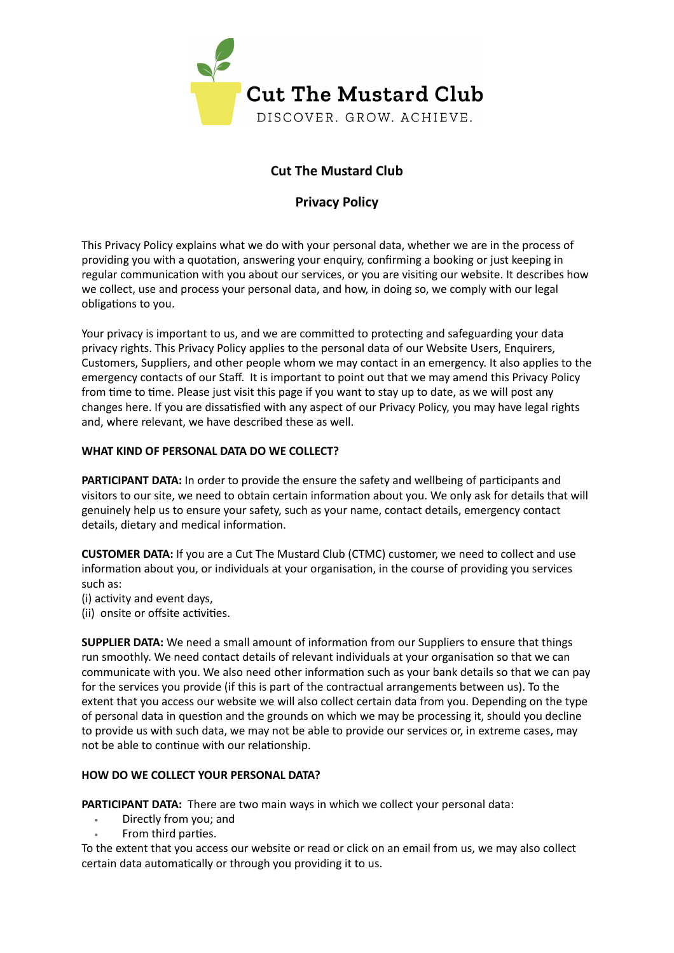

# **Cut The Mustard Club**

## **Privacy Policy**

This Privacy Policy explains what we do with your personal data, whether we are in the process of providing you with a quotation, answering your enquiry, confirming a booking or just keeping in regular communication with you about our services, or you are visiting our website. It describes how we collect, use and process your personal data, and how, in doing so, we comply with our legal obligations to you.

Your privacy is important to us, and we are committed to protecting and safeguarding your data privacy rights. This Privacy Policy applies to the personal data of our Website Users, Enquirers, Customers, Suppliers, and other people whom we may contact in an emergency. It also applies to the emergency contacts of our Staff. It is important to point out that we may amend this Privacy Policy from time to time. Please just visit this page if you want to stay up to date, as we will post any changes here. If you are dissatisfied with any aspect of our Privacy Policy, you may have legal rights and, where relevant, we have described these as well.

#### **WHAT KIND OF PERSONAL DATA DO WE COLLECT?**

**PARTICIPANT DATA:** In order to provide the ensure the safety and wellbeing of participants and visitors to our site, we need to obtain certain information about you. We only ask for details that will genuinely help us to ensure your safety, such as your name, contact details, emergency contact details, dietary and medical information.

**CUSTOMER DATA:** If you are a Cut The Mustard Club (CTMC) customer, we need to collect and use information about you, or individuals at your organisation, in the course of providing you services such as:

(i) activity and event days,

(ii) onsite or offsite activities.

**SUPPLIER DATA:** We need a small amount of information from our Suppliers to ensure that things run smoothly. We need contact details of relevant individuals at your organisation so that we can communicate with you. We also need other information such as your bank details so that we can pay for the services you provide (if this is part of the contractual arrangements between us). To the extent that you access our website we will also collect certain data from you. Depending on the type of personal data in question and the grounds on which we may be processing it, should you decline to provide us with such data, we may not be able to provide our services or, in extreme cases, may not be able to continue with our relationship.

### **HOW DO WE COLLECT YOUR PERSONAL DATA?**

**PARTICIPANT DATA:** There are two main ways in which we collect your personal data:

- Directly from you; and
- From third parties.

To the extent that you access our website or read or click on an email from us, we may also collect certain data automatically or through you providing it to us.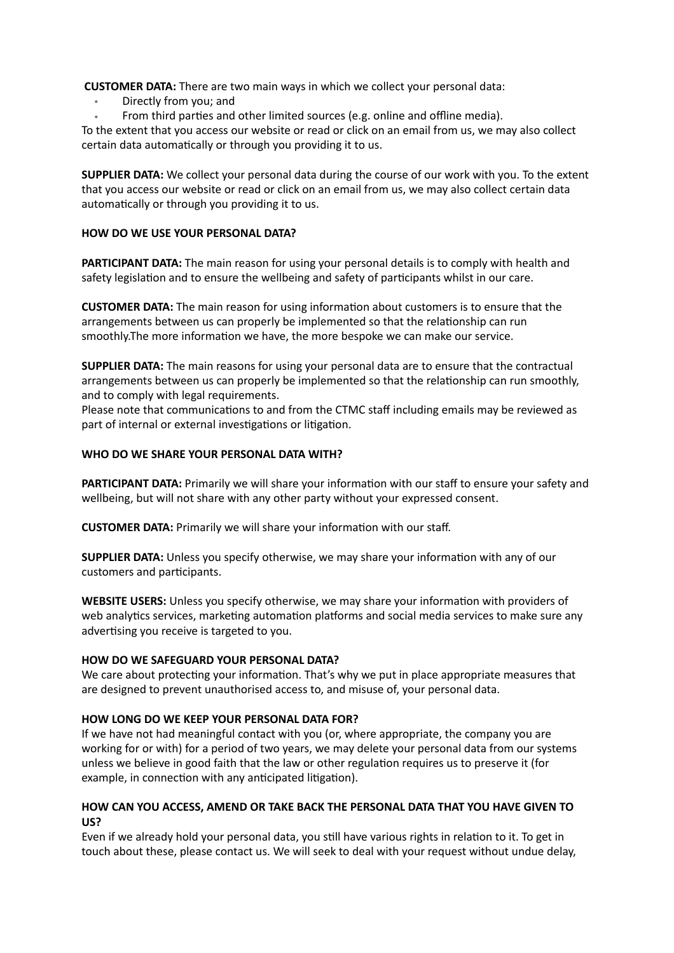**CUSTOMER DATA:** There are two main ways in which we collect your personal data:

- Directly from you; and
- From third parties and other limited sources (e.g. online and offline media).

To the extent that you access our website or read or click on an email from us, we may also collect certain data automatically or through you providing it to us.

**SUPPLIER DATA:** We collect your personal data during the course of our work with you. To the extent that you access our website or read or click on an email from us, we may also collect certain data automatically or through you providing it to us.

#### **HOW DO WE USE YOUR PERSONAL DATA?**

**PARTICIPANT DATA:** The main reason for using your personal details is to comply with health and safety legislation and to ensure the wellbeing and safety of participants whilst in our care.

**CUSTOMER DATA:** The main reason for using information about customers is to ensure that the arrangements between us can properly be implemented so that the relationship can run smoothly.The more information we have, the more bespoke we can make our service.

**SUPPLIER DATA:** The main reasons for using your personal data are to ensure that the contractual arrangements between us can properly be implemented so that the relationship can run smoothly, and to comply with legal requirements.

Please note that communications to and from the CTMC staff including emails may be reviewed as part of internal or external investigations or litigation.

#### **WHO DO WE SHARE YOUR PERSONAL DATA WITH?**

**PARTICIPANT DATA:** Primarily we will share your information with our staff to ensure your safety and wellbeing, but will not share with any other party without your expressed consent.

**CUSTOMER DATA:** Primarily we will share your information with our staff.

**SUPPLIER DATA:** Unless you specify otherwise, we may share your information with any of our customers and participants.

**WEBSITE USERS:** Unless you specify otherwise, we may share your information with providers of web analytics services, marketing automation platforms and social media services to make sure any advertising you receive is targeted to you.

#### **HOW DO WE SAFEGUARD YOUR PERSONAL DATA?**

We care about protecting your information. That's why we put in place appropriate measures that are designed to prevent unauthorised access to, and misuse of, your personal data.

#### **HOW LONG DO WE KEEP YOUR PERSONAL DATA FOR?**

If we have not had meaningful contact with you (or, where appropriate, the company you are working for or with) for a period of two years, we may delete your personal data from our systems unless we believe in good faith that the law or other regulation requires us to preserve it (for example, in connection with any anticipated litigation).

#### **HOW CAN YOU ACCESS, AMEND OR TAKE BACK THE PERSONAL DATA THAT YOU HAVE GIVEN TO US?**

Even if we already hold your personal data, you still have various rights in relation to it. To get in touch about these, please contact us. We will seek to deal with your request without undue delay,